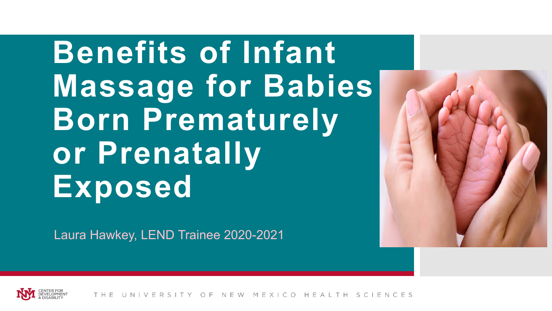**Benefits of Infant Massage for Babies Born Prematurely or Prenatally Exposed**

Laura Hawkey, LEND Trainee 2020-2021



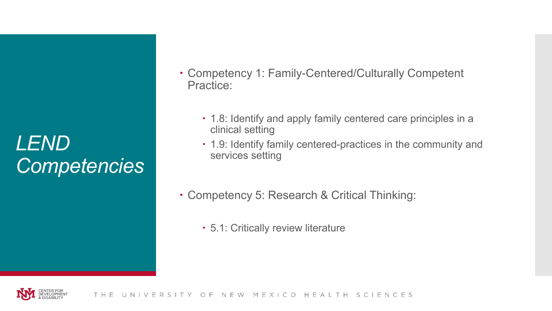## *LEND Competencies*

- Competency 1: Family-Centered/Culturally Competent Practice:
	- 1.8: Identify and apply family centered care principles in a clinical setting
	- 1.9: Identify family centered-practices in the community and services setting
- Competency 5: Research & Critical Thinking:
	- 5.1: Critically review literature

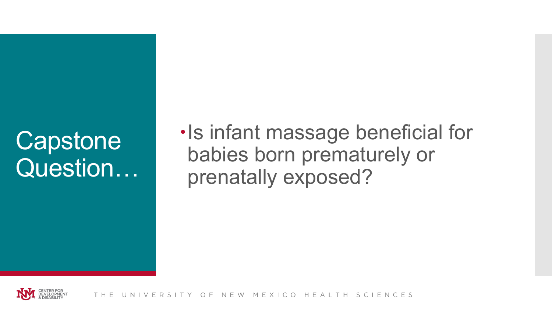# **Capstone** Question…

 $\cdot$ Is infant massage beneficial for babies born prematurely or prenatally exposed?

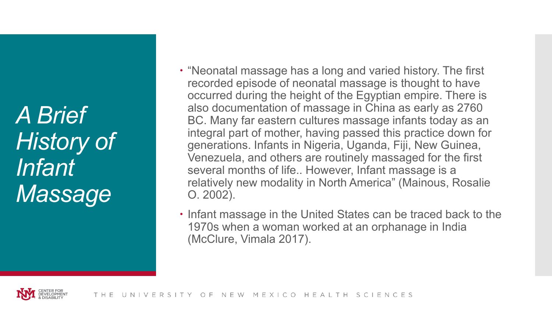*A Brief History of Infant Massage*

- "Neonatal massage has a long and varied history. The first recorded episode of neonatal massage is thought to have occurred during the height of the Egyptian empire. There is also documentation of massage in China as early as 2760 BC. Many far eastern cultures massage infants today as an integral part of mother, having passed this practice down for generations. Infants in Nigeria, Uganda, Fiji, New Guinea, Venezuela, and others are routinely massaged for the first several months of life.. However, Infant massage is a relatively new modality in North America" (Mainous, Rosalie O. 2002).
- $\cdot$  Infant massage in the United States can be traced back to the 1970s when a woman worked at an orphanage in India (McClure, Vimala 2017).

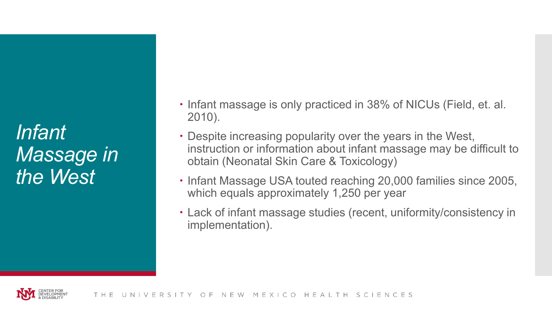*Infant Massage in the West*

- Infant massage is only practiced in 38% of NICUs (Field, et. al. 2010).
- Despite increasing popularity over the years in the West, instruction or information about infant massage may be difficult to obtain (Neonatal Skin Care & Toxicology)
- Infant Massage USA touted reaching 20,000 families since 2005, which equals approximately 1,250 per year
- Lack of infant massage studies (recent, uniformity/consistency in implementation).

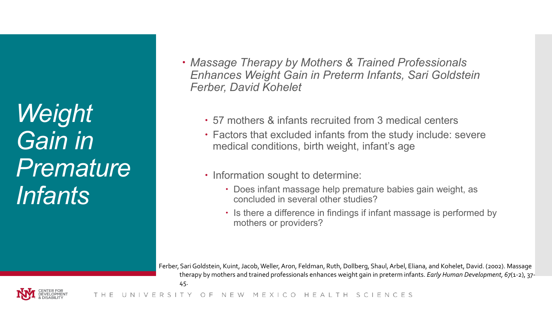*Weight Gain in Premature Infants*

- *Massage Therapy by Mothers & Trained Professionals Enhances Weight Gain in Preterm Infants, Sari Goldstein Ferber, David Kohelet*
	- 57 mothers & infants recruited from 3 medical centers
	- Factors that excluded infants from the study include: severe medical conditions, birth weight, infant's age
	- Information sought to determine:
		- Does infant massage help premature babies gain weight, as concluded in several other studies?
		- $\cdot$  Is there a difference in findings if infant massage is performed by mothers or providers?

Ferber, Sari Goldstein, Kuint, Jacob, Weller, Aron, Feldman, Ruth, Dollberg, Shaul, Arbel, Eliana, and Kohelet, David. (2002). Massage therapy by mothers and trained professionals enhances weight gain in preterm infants. *Early Human Development, 67*(1-2), 37-

45.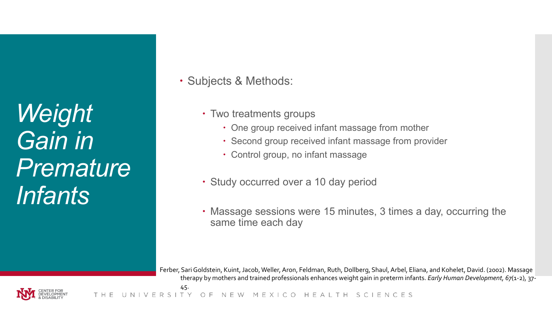*Weight Gain in Premature Infants*

• Subjects & Methods:

- Two treatments groups
	- One group received infant massage from mother
	- Second group received infant massage from provider
	- Control group, no infant massage
- Study occurred over a 10 day period
- Massage sessions were 15 minutes, 3 times a day, occurring the same time each day

Ferber, Sari Goldstein, Kuint, Jacob, Weller, Aron, Feldman, Ruth, Dollberg, Shaul, Arbel, Eliana, and Kohelet, David. (2002). Massage therapy by mothers and trained professionals enhances weight gain in preterm infants. *Early Human Development, 67*(1-2), 37- 45.

FRS MEXICO HEAITH SCIENCES

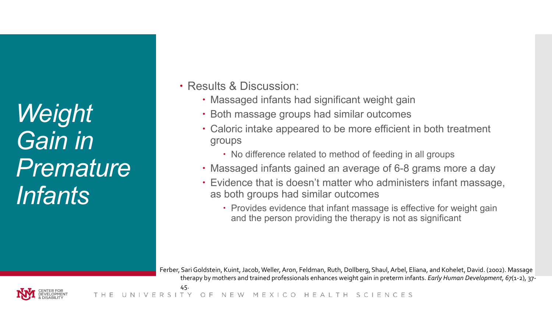*Weight Gain in Premature Infants*

Results & Discussion:

- Massaged infants had significant weight gain
- Both massage groups had similar outcomes
- Caloric intake appeared to be more efficient in both treatment groups
	- No difference related to method of feeding in all groups
- Massaged infants gained an average of 6-8 grams more a day
- Evidence that is doesn't matter who administers infant massage, as both groups had similar outcomes
	- Provides evidence that infant massage is effective for weight gain and the person providing the therapy is not as significant

Ferber, Sari Goldstein, Kuint, Jacob, Weller, Aron, Feldman, Ruth, Dollberg, Shaul, Arbel, Eliana, and Kohelet, David. (2002). Massage therapy by mothers and trained professionals enhances weight gain in preterm infants. *Early Human Development, 67*(1-2), 37-

MEXICO HEAITH SCIENCES N F W

45.

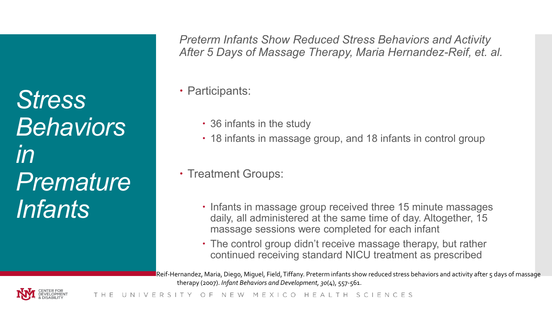*Stress Behaviors in Premature Infants*

*Preterm Infants Show Reduced Stress Behaviors and Activity After 5 Days of Massage Therapy, Maria Hernandez-Reif, et. al.*

• Participants:

- 36 infants in the study
- 18 infants in massage group, and 18 infants in control group
- Treatment Groups:
	- $\cdot$  Infants in massage group received three 15 minute massages daily, all administered at the same time of day. Altogether, 15 massage sessions were completed for each infant
	- The control group didn't receive massage therapy, but rather continued receiving standard NICU treatment as prescribed

Reif-Hernandez, Maria, Diego, Miguel, Field, Tiffany. Preterm infants show reduced stress behaviors and activity after 5 days of massage therapy (2007). *Infant Behaviors and Development, 30*(4), 557-561.

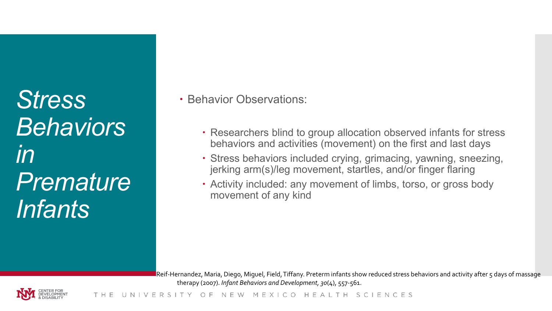*Stress Behaviors in Premature Infants*

• Behavior Observations:

- Researchers blind to group allocation observed infants for stress behaviors and activities (movement) on the first and last days
- Stress behaviors included crying, grimacing, yawning, sneezing, jerking arm(s)/leg movement, startles, and/or finger flaring
- Activity included: any movement of limbs, torso, or gross body movement of any kind

Reif-Hernandez, Maria, Diego, Miguel, Field, Tiffany. Preterm infants show reduced stress behaviors and activity after 5 days of massage therapy (2007). *Infant Behaviors and Development, 30*(4), 557-561.

NEW MEXICO HEALTH SCIENCES  $\cap$  F

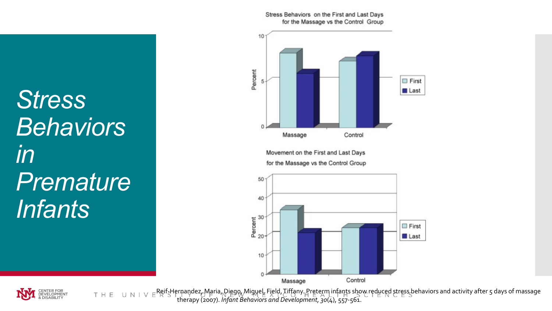Stress Behaviors on the First and Last Days for the Massage vs the Control Group



Movement on the First and Last Days for the Massage vs the Control Group



*Stress Behaviors in Premature Infants*



Reif-Hernandez, Maria, Diego, Miguel, Field, Tiffany. Preterm infants show reduced stress behaviors and activity after 5 days of massage THE therapy (2007). *Infant Behaviors and Development, 30*(4), 557-561.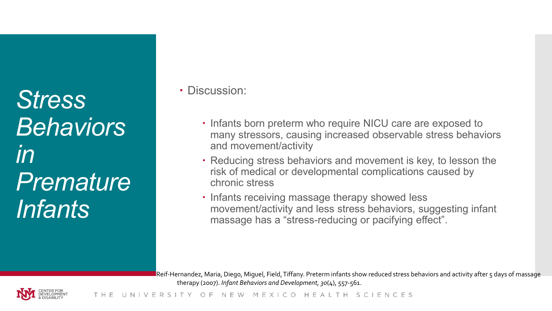*Stress Behaviors in Premature Infants*

Discussion:

- $\cdot$  Infants born preterm who require NICU care are exposed to many stressors, causing increased observable stress behaviors and movement/activity
- Reducing stress behaviors and movement is key, to lesson the risk of medical or developmental complications caused by chronic stress
- Infants receiving massage therapy showed less movement/activity and less stress behaviors, suggesting infant massage has a "stress-reducing or pacifying effect".

Reif-Hernandez, Maria, Diego, Miguel, Field, Tiffany. Preterm infants show reduced stress behaviors and activity after 5 days of massage therapy (2007). *Infant Behaviors and Development, 30*(4), 557-561.

NEW MEXICO HEAITH SCIENCES 0 F

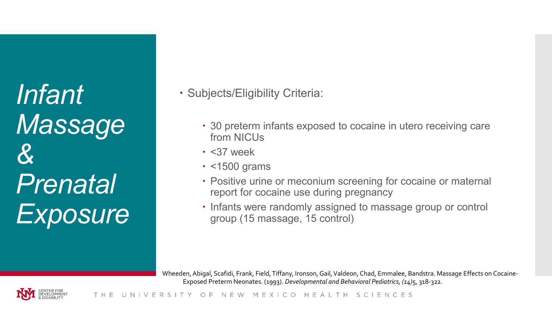*Infant Massage & Prenatal Exposure*

- Subjects/Eligibility Criteria:
	- 30 preterm infants exposed to cocaine in utero receiving care from NICUs
	- $\cdot$  <37 week
	- $\cdot$  <1500 grams
	- Positive urine or meconium screening for cocaine or maternal report for cocaine use during pregnancy
	- Infants were randomly assigned to massage group or control group (15 massage, 15 control)

Wheeden, Abigal, Scafidi, Frank, Field, Tiffany, Ironson, Gail, Valdeon, Chad, Emmalee, Bandstra. Massage Effects on Cocaine-Exposed Preterm Neonates. (1993). *Developmental and Behavioral Pediatrics, (14)*5, 318-322.

NEW MEXICO HEAITH SCIENCES THE

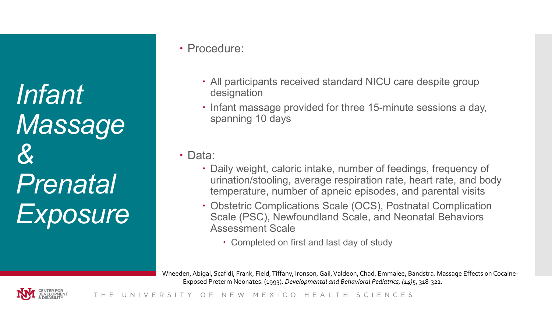*Infant Massage & Prenatal Exposure*

#### Procedure:

- All participants received standard NICU care despite group designation
- Infant massage provided for three 15-minute sessions a day, spanning 10 days

Data:

- Daily weight, caloric intake, number of feedings, frequency of urination/stooling, average respiration rate, heart rate, and body temperature, number of apneic episodes, and parental visits
- Obstetric Complications Scale (OCS), Postnatal Complication Scale (PSC), Newfoundland Scale, and Neonatal Behaviors Assessment Scale
	- Completed on first and last day of study

Wheeden, Abigal, Scafidi, Frank, Field, Tiffany, Ironson, Gail, Valdeon, Chad, Emmalee, Bandstra. Massage Effects on Cocaine-Exposed Preterm Neonates. (1993). *Developmental and Behavioral Pediatrics, (14)*5, 318-322.

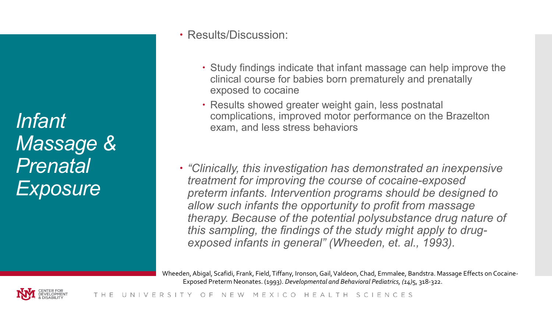*Infant Massage & Prenatal Exposure*

#### Results/Discussion:

- Study findings indicate that infant massage can help improve the clinical course for babies born prematurely and prenatally exposed to cocaine
- Results showed greater weight gain, less postnatal complications, improved motor performance on the Brazelton exam, and less stress behaviors
- *"Clinically, this investigation has demonstrated an inexpensive treatment for improving the course of cocaine-exposed preterm infants. Intervention programs should be designed to allow such infants the opportunity to profit from massage therapy. Because of the potential polysubstance drug nature of this sampling, the findings of the study might apply to drugexposed infants in general" (Wheeden, et. al., 1993).*

Wheeden, Abigal, Scafidi, Frank, Field, Tiffany, Ironson, Gail, Valdeon, Chad, Emmalee, Bandstra. Massage Effects on Cocaine-Exposed Preterm Neonates. (1993). *Developmental and Behavioral Pediatrics, (14)*5, 318-322.

NEW MEXICO HEALTH SCIENCES VFRSI

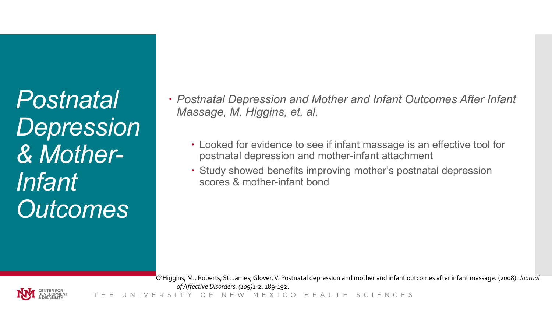*Postnatal Depression & Mother-Infant Outcomes*

- *Postnatal Depression and Mother and Infant Outcomes After Infant Massage, M. Higgins, et. al.*
	- Looked for evidence to see if infant massage is an effective tool for postnatal depression and mother-infant attachment
	- Study showed benefits improving mother's postnatal depression scores & mother-infant bond

O'Higgins, M., Roberts, St. James, Glover, V. Postnatal depression and mother and infant outcomes after infant massage. (2008). *Journal of Affective Disorders. (109)*1-2. 189-192.

NEW MEXICO HEAITH SCIENCES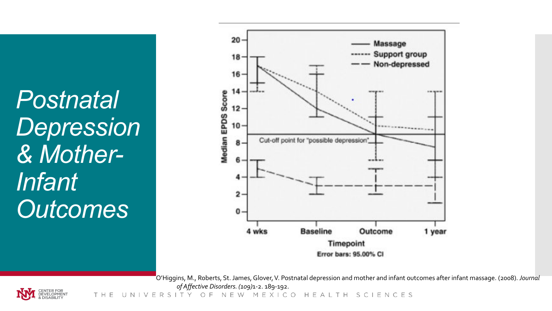*Postnatal Depression & Mother-Infant Outcomes*



O'Higgins, M., Roberts, St. James, Glover, V. Postnatal depression and mother and infant outcomes after infant massage. (2008). *Journal of Affective Disorders. (109)*1-2. 189-192.



NEW MEXICO HEALTH SCIENCES THE  $\bigcap$ E. FRSIT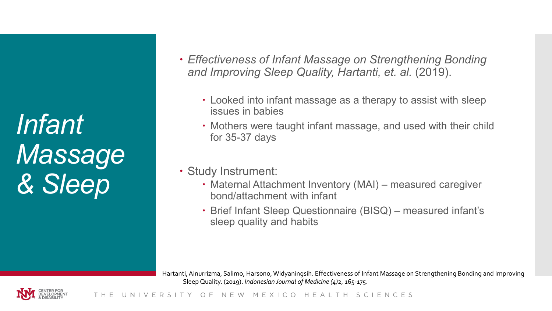*Infant Massage & Sleep*

- *Effectiveness of Infant Massage on Strengthening Bonding and Improving Sleep Quality, Hartanti, et. al.* (2019).
	- Looked into infant massage as a therapy to assist with sleep issues in babies
	- Mothers were taught infant massage, and used with their child for 35-37 days
- Study Instrument:
	- Maternal Attachment Inventory (MAI) measured caregiver bond/attachment with infant
	- Brief Infant Sleep Questionnaire (BISQ) measured infant's sleep quality and habits

Hartanti, Ainurrizma, Salimo, Harsono, Widyaningsih. Effectiveness of Infant Massage on Strengthening Bonding and Improving Sleep Quality. (2019). *Indonesian Journal of Medicine (4)*2, 165-175.

NEW MEXICO HEALTH SCIENCES THE

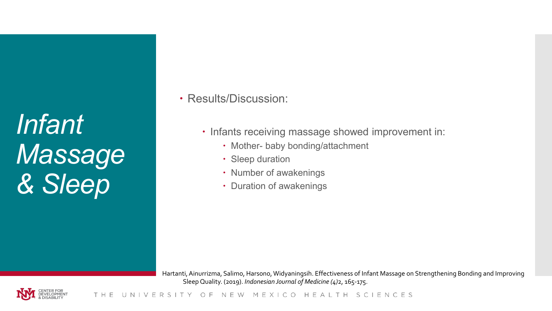*Infant Massage & Sleep*

Results/Discussion:

- Infants receiving massage showed improvement in:
	- Mother- baby bonding/attachment
	- Sleep duration
	- Number of awakenings
	- Duration of awakenings

Hartanti, Ainurrizma, Salimo, Harsono, Widyaningsih. Effectiveness of Infant Massage on Strengthening Bonding and Improving Sleep Quality. (2019). *Indonesian Journal of Medicine (4)*2, 165-175.

NEW MEXICO HEALTH SCIENCES THE UNI VERSI O F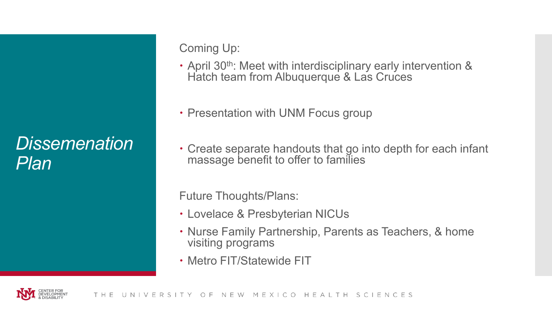### *Dissemenation Plan*

Coming Up:

- April 30<sup>th</sup>: Meet with interdisciplinary early intervention & Hatch team from Albuquerque & Las Cruces
- Presentation with UNM Focus group
- Create separate handouts that go into depth for each infant massage benefit to offer to families

Future Thoughts/Plans:

- Lovelace & Presbyterian NICUs
- Nurse Family Partnership, Parents as Teachers, & home visiting programs
- Metro FIT/Statewide FIT